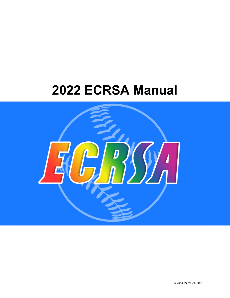# **2022 ECRSA Manual**

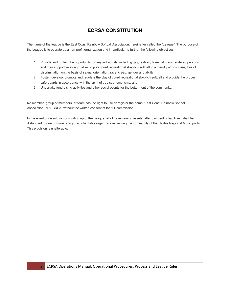# **ECRSA CONSTITUTION**

The name of the league is the East Coast Rainbow Softball Association, hereinafter called the "League". The purpose of the League is to operate as a non-profit organization and in particular to further the following objectives:

- 1. Provide and protect the opportunity for any individuals, including gay, lesbian, bisexual, transgendered persons and their supportive straight allies to play co-ed recreational slo-pitch softball in a friendly atmosphere, free of discrimination on the basis of sexual orientation, race, creed, gender and ability;
- 2. Foster, develop, promote and regulate the play of co-ed recreational slo-pitch softball and provide the proper safe-guards in accordance with the spirit of true sportsmanship; and
- 3. Undertake fundraising activities and other social events for the betterment of the community.

No member, group of members, or team has the right to use or register the name "East Coast Rainbow Softball Association" or "ECRSA" without the written consent of the full commission.

In the event of dissolution or winding up of the League, all of its remaining assets, after payment of liabilities, shall be distributed to one or more recognized charitable organizations serving the community of the Halifax Regional Municipality. This provision is unalterable.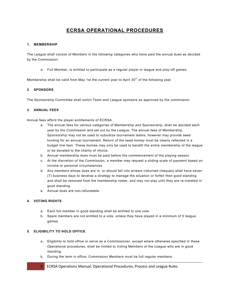# **ECRSA OPERATIONAL PROCEDURES**

# **1. MEMBERSHIP**

The League shall consist of Members in the following categories who have paid the annual dues as decided by the Commission:

a. Full Member, is entitled to participate as a regular player in league and play-off games.

Membership shall be valid from May 1st the current year to April  $30<sup>th</sup>$  of the following year.

# **2. SPONSORS**

The Sponsorship Committee shall solicit Team and League sponsors as approved by the commission

# **3. ANNUAL FEES**

Annual fees afford the player entitlements of ECRSA.

- a. The annual fees for various categories of Membership and Sponsorship, shall be decided each year by the Commission and set out by the League. The annual fees of Membership, Sponsorship may not be used to subsidize tournament teams, however may provide seed funding for an annual tournament. Return of the seed money must be clearly reflected in a budget line item. These monies may only be used to benefit the entire membership of the league or be donated to the charity of choice.
- b. Annual membership dues must be paid before the commencement of the playing season
- c. At the discretion of the Commission, a member may request a sliding scale of payment based on income or personal circumstances.
- d. Any members whose dues are in, or should fall into arrears (returned cheques) shall have seven (7) business days to develop a strategy to manage the situation or forfeit their good standing and shall be removed from the membership roster, and may not play until they are re-instated in good standing.
- e. Annual dues are non-refundable.

# **4. VOTING RIGHTS**

- a. Each full member in good standing shall be entitled to one vote.
- b. Spare members are not entitled to a vote, unless they have played in a minimum of 5 league games.

## **5. ELIGIBILITY TO HOLD OFFICE**

- a. Eligibility to hold office or serve as a Commissioner, except where otherwise specified in these Operational procedures, shall be limited to Voting Members of the League who are in good standing.
- b. During the term in office, Commission Members must be full regular members.
- 3 ECRSA Operations Manual: Operational Procedures, Process and League Rules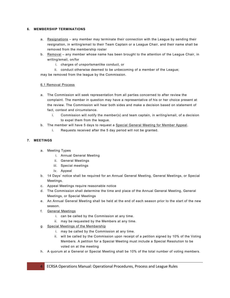# **6. MEMBERSHIP TERMINATIONS**

- a. Resignations any member may terminate their connection with the League by sending their resignation, in writing/email to their Team Captain or a League Chair, and their name shall be removed from the membership roster
- b. Removal any member whose name has been brought to the attention of the League Chair, in writing/email, on/for
	- i. charges of unsportsmanlike conduct, or
	- ii. conduct otherwise deemed to be unbecoming of a member of the League;

may be removed from the league by the Commission.

# 6.1 Removal Process

- a. The Commission will seek representation from all parties concerned to after review the complaint. The member in question may have a representative of his or her choice present at the review. The Commission will hear both sides and make a decision based on statement of fact, context and circumstance.
	- i. Commission will notify the member(s) and team captain, in writing/email, of a decision to expel them from the league.
- b. The member will have 5 days to request a Special General Meeting for Member Appeal.
	- i. Requests received after the 5 day period will not be granted.

# **7. MEETINGS**

- a. Meeting Types
	- i. Annual General Meeting
	- ii. General Meetings
	- iii. Special meetings
	- iv. Appeal
- b. 14 Days' notice shall be required for an Annual General Meeting, General Meetings, or Special Meetings.
- c. Appeal Meetings require reasonable notice
- d. The Commission shall determine the time and place of the Annual General Meeting, General Meetings, or Special Meetings
- e. An Annual General Meeting shall be held at the end of each season prior to the start of the new season.
- f. General Meetings
	- i. can be called by the Commission at any time.
	- ii. may be requested by the Members at any time.
- g. Special Meetings of the Membership
	- i. may be called by the Commission at any time.
	- ii. will be called by the Commission upon receipt of a petition signed by 10% of the Voting Members. A petition for a Special Meeting must include a Special Resolution to be voted on at the meeting
- h. A quorum at a General or Special Meeting shall be 10% of the total number of voting members.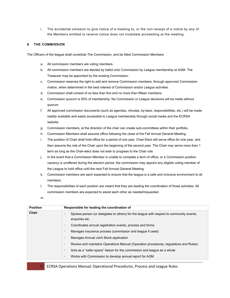i. The accidental omission to give notice of a meeting to, or the non-receipt of a notice by any of the Members entitled to receive notice does not invalidate proceeding at the meeting.

# **8. THE COMMISSION**

The Officers of the league shall constitute The Commission, and be titled Commission Members

- a. All commission members are voting members.
- b. All commission members are elected by ballot onto Commission by League membership at AGM. The Treasurer may be appointed by the existing Commission.
- c. Commission reserves the right to add and remove Commission members, through approved Commission motion, when determined in the best interest of Commission and/or League activities.
- d. Commission shall consist of no less than five and no more than fifteen members.
- e. Commission quorum is 50% of membership. No Commission or League decisions will be made without quorum.
- f. All approved commission documents (such as agendas, minutes, by-laws, responsibilities, etc.) will be made readily available and easily accessible to League membership through social media and the ECRSA website.
- g. Commission members, at the direction of the chair can create sub-committees within their portfolio.
- h. Commission Members shall assume office following the close of the Fall Annual General Meeting
- i. The position of Chair shall hold office for a period of one year. Chair-Elect will serve office for one year, and then assume the role of the Chair upon the beginning of the second year. The Chair may serve more than 1 term as long as the Chair-elect does not wish to progress to the Chair role.
- j. In the event that a Commission Member is unable to complete a term of office, or a Commission position vacancy is unoffered during the election period, the commission may appoint any eligible voting member of the League to hold office until the next Fall Annual General Meeting.
- k. Commission members are each expected to ensure that the league is a safe and inclusive environment to all members.
- l. The responsibilities of each position are meant that they are leading the coordination of those activities. All commission members are expected to assist each other as needed/requested.
- m.

| <b>Position</b> | Responsible for leading the coordination of                                                                    |
|-----------------|----------------------------------------------------------------------------------------------------------------|
| Chair           | Spokes-person (or delegates to others) for the league with respect to community events,<br>٠<br>enquiries etc. |
|                 | Coordinates annual registration events, process and forms<br>٠                                                 |
|                 | Manages insurance process (commission and league if used)<br>٠                                                 |
|                 | Manages Annual Joint Stock application<br>٠                                                                    |
|                 | Review and maintains Operations Manual (Operation procedures, regulations and Rules)<br>$\bullet$              |
|                 | Acts as a "safer-space" liaison for the commission and league as a whole<br>٠                                  |
|                 | Works with Commission to develop annual report for AGM<br>٠                                                    |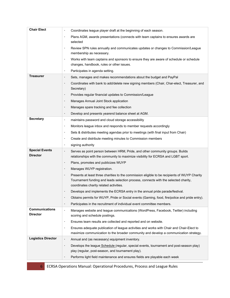| <b>Chair Elect</b>                       | Coordinates league player draft at the beginning of each season.<br>$\bullet$                                                                                                                                                                |
|------------------------------------------|----------------------------------------------------------------------------------------------------------------------------------------------------------------------------------------------------------------------------------------------|
|                                          | Plans AGM, awards presentations (connects with team captains to ensures awards are<br>$\bullet$<br>selected                                                                                                                                  |
|                                          | Review SPN rules annually and communicates updates or changes to Commission/League<br>$\bullet$<br>membership as necessary.                                                                                                                  |
|                                          | Works with team captains and sponsors to ensure they are aware of schedule or schedule<br>$\bullet$<br>changes, handbook, rules or other issues.                                                                                             |
|                                          | Participates in agenda setting.<br>$\bullet$                                                                                                                                                                                                 |
| Treasurer                                | Sets, manages and makes recommendations about the budget and PayPal<br>$\bullet$                                                                                                                                                             |
|                                          | Coordinates with bank to add/delete new signing members (Chair, Char-elect, Treasurer, and<br>Secretary)                                                                                                                                     |
|                                          | Provides regular financial updates to Commission/League<br>$\bullet$                                                                                                                                                                         |
|                                          | Manages Annual Joint Stock application<br>$\bullet$                                                                                                                                                                                          |
|                                          | Manages spare tracking and fee collection<br>$\bullet$                                                                                                                                                                                       |
|                                          | Develop and presents yearend balance sheet at AGM.<br>$\bullet$                                                                                                                                                                              |
| <b>Secretary</b>                         | maintains password and cloud storage accessibility<br>$\bullet$                                                                                                                                                                              |
|                                          | Monitors league inbox and responds to member requests accordingly<br>$\bullet$                                                                                                                                                               |
|                                          | Sets & distributes meeting agendas prior to meetings (with final input from Chair)<br>$\bullet$                                                                                                                                              |
|                                          | Create and distribute meeting minutes to Commission members<br>$\bullet$                                                                                                                                                                     |
|                                          | signing authority<br>$\bullet$                                                                                                                                                                                                               |
| <b>Special Events</b><br><b>Director</b> | Serves as point person between HRM, Pride, and other community groups. Builds<br>$\bullet$<br>relationships with the community to maximize visibility for ECRSA and LGBT sport.                                                              |
|                                          | Plans, promotes and publicizes WUYP<br>$\bullet$                                                                                                                                                                                             |
|                                          | Manages WUYP registration.<br>$\bullet$                                                                                                                                                                                                      |
|                                          | Presents at least three charities to the commission eligible to be recipients of WUYP Charity<br>$\bullet$<br>Tournament funding and leads selection process, connects with the selected charity,<br>coordinates charity related activities. |
|                                          | Develops and implements the ECRSA entry in the annual pride parade/festival.                                                                                                                                                                 |
|                                          | Obtains permits for WUYP, Pride or Social events (Gaming, food, fire/police and pride entry).                                                                                                                                                |
|                                          | Participates in the recruitment of individual event committee members.<br>$\bullet$                                                                                                                                                          |
| <b>Communications</b><br><b>Director</b> | Manages website and league communications (WordPress, Facebook, Twitter) including<br>$\bullet$<br>scoring and schedule postings.                                                                                                            |
|                                          | Ensures team results are collected and reported and on website.<br>$\bullet$                                                                                                                                                                 |
|                                          | Ensures adequate publication of league activities and works with Chair and Chair-Elect to<br>$\bullet$<br>maximize communication to the broader community and develop a communication strategy.                                              |
| <b>Logistics Director</b>                | Annual and (as necessary) equipment inventory.<br>$\bullet$                                                                                                                                                                                  |
|                                          | Develops the league Schedule (regular, special events, tournament and post-season play)<br>$\cdot$<br>play (regular, post-season, and tournament play).                                                                                      |
|                                          | Performs light field maintenance and ensures fields are playable each week                                                                                                                                                                   |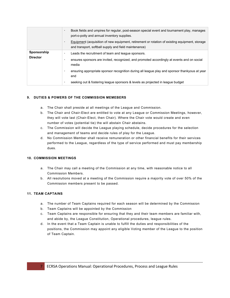|                                | Book fields and umpires for regular, post-season special event and tournament play, manages<br>$\bullet$<br>port-o-potty and annual inventory supplies.<br>Equipment (acquisition of new equipment, retirement or rotation of existing equipment, storage<br>and transport, softball supply and field maintenance)                                                         |
|--------------------------------|----------------------------------------------------------------------------------------------------------------------------------------------------------------------------------------------------------------------------------------------------------------------------------------------------------------------------------------------------------------------------|
| Sponsorship<br><b>Director</b> | Leads the recruitment of team and league sponsors.<br>$\bullet$<br>ensures sponsors are invited, recognized, and promoted accordingly at events and on social<br>٠<br>media<br>ensuring appropriate sponsor recognition during all league play and sponsor thankyous at year<br>end<br>seeking out & fostering league sponsors & levels as projected in league budget<br>٠ |

# **9. DUTIES & POWERS OF THE COMMISSION MEMEBERS**

- a. The Chair shall preside at all meetings of the League and Commission.
- b. The Chair and Chair-Elect are entitled to vote at any League or Commission Meetings, however, they will vote last (Chair-Elect, then Chair). Where the Chair vote would create and even number of votes (potential tie) the will abstain Chair abstains.
- c. The Commission will decide the League playing schedule, decide procedures for the selection and management of teams and decide rules of play for the League.
- d. No Commission Member shall receive remuneration or other financial benefits for their services performed to the League, regardless of the type of service performed and must pay membership dues.

# **10. COMMISSION MEETINGS**

- a. The Chair may call a meeting of the Commission at any time, with reasonable notice to all Commission Members.
- b. All resolutions moved at a meeting of the Commission require a majority vote of over 50% of the Commission members present to be passed.

# **11. TEAM CAPTAINS**

- a. The number of Team Captains required for each season will be determined by the Commission
- b. Team Captains will be appointed by the Commission
- c. Team Captains are responsible for ensuring that they and their team members are familiar with, and abide by, the League Constitution, Operational procedures, league rules.
- d. In the event that a Team Captain is unable to fulfill the duties and responsibilities of the positions, the Commission may appoint any eligible Voting member of the League to the position of Team Captain.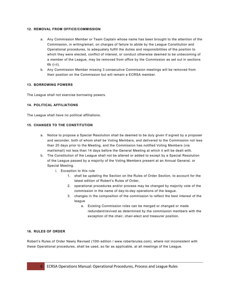# **12. REMOVAL FROM OFFICE/COMMISSION**

- a. Any Commission Member or Team Captain whose name has been brought to the attention of the Commission, in writing/email, on charges of failure to abide by the League Constitution and Operational procedures, to adequately fulfill the duties and responsibilities of the position to which they were elected, conflict of interest, or conduct otherwise deemed to be unbecoming of a member of the League, may be removed from office by the Commission as set out in sections 6b (i-ii).
- b. Any Commission Member missing 3 consecutive Commission meetings will be removed from their position on the Commission but will remain a ECRSA member.

# **13. BORROWING POWERS**

The League shall not exercise borrowing powers.

# **14. POLITICAL AFFILIATIONS**

The League shall have no political affiliations.

# **15. CHANGES TO THE CONSTITUTION**

- a. Notice to propose a Special Resolution shall be deemed to be duly given if signed by a proposer and seconder, both of whom shall be Voting Members, and delivered to the Commission not less than 20 days prior to the Meeting, and the Commission has notified Voting Members (via mail/email) not less than 14 days before the General Meeting at which it will be dealt with.
- b. The Constitution of the League shall not be altered or added to except by a Special Resolution of the League passed by a majority of the Voting Members present at an Annual General, or Special Meeting.
	- i. Exception to this rule
		- 1. shall be updating the Section on the Rules of Order Section, to account for the latest edition of Robert's Rules of Order,
		- 2. operational procedures and/or process may be changed by majority vote of the commission in the name of day-to-day operations of the league.
		- 3. changes in the composition of the commission to reflect the best interest of the league
			- a. Existing Commission roles can be merged or changed or made redundant/revived as determined by the commission members with the exception of the chair, chair-elect and treasurer position.

## **16. RULES OF ORDER**

Robert's Rules of Order Newly Revised (10th edition / www.robertsrules.com), where not inconsistent with these Operational procedures, shall be used, so far as applicable, at all meetings of the League.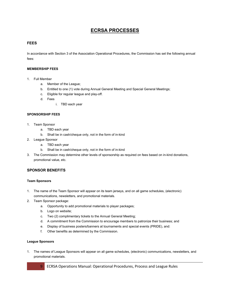# **ECRSA PROCESSES**

# **FEES**

In accordance with Section 3 of the Association Operational Procedures, the Commission has set the following annual fees:

# **MEMBERSHIP FEES**

- 1. Full Member
	- a. Member of the League;
	- b. Entitled to one (1) vote during Annual General Meeting and Special General Meetings;
	- c. Eligible for regular league and play-off.
	- d. Fees
		- i. TBD each year

## **SPONSORSHIP FEES**

- 1. Team Sponsor
	- a. TBD each year
	- b. Shall be in cash/cheque only, not in the form of in-kind
- 2. League Sponsor
	- a. TBD each year
	- b. Shall be in cash/cheque only, not in the form of in-kind
- 3. The Commission may determine other levels of sponsorship as required on fees based on in-kind donations, promotional value, etc.

# **SPONSOR BENEFITS**

## **Team Sponsors**

- 1. The name of the Team Sponsor will appear on its team jerseys, and on all game schedules, (electronic) communications, newsletters, and promotional materials.
- 2. Team Sponsor package:
	- a. Opportunity to add promotional materials to player packages;
	- b. Logo on website;
	- c. Two (2) complimentary tickets to the Annual General Meeting;
	- d. A commitment from the Commission to encourage members to patronize their business; and
	- e. Display of business posters/banners at tournaments and special events (PRIDE), and:
	- f. Other benefits as determined by the Commission.

## **League Sponsors**

1. The names of League Sponsors will appear on all game schedules, (electronic) communications, newsletters, and promotional materials.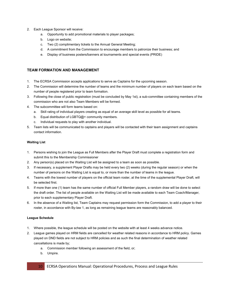- 2. Each League Sponsor will receive:
	- a. Opportunity to add promotional materials to player packages;
	- b. Logo on website;
	- c. Two (2) complimentary tickets to the Annual General Meeting;
	- d. A commitment from the Commission to encourage members to patronize their business; and
	- e. Display of business posters/banners at tournaments and special events (PRIDE)

# **TEAM FORMATION AND MANAGEMENT**

- 1. The ECRSA Commission accepts applications to serve as Captains for the upcoming season.
- 2. The Commission will determine the number of teams and the minimum number of players on each team based on the number of people registered prior to team formation.
- 3. Following the close of public registration (must be concluded by May 1st), a sub-committee containing members of the commission who are not also Team Members will be formed.
- 4. The subcommittee will form teams based on:
	- a. Skill rating of individual players creating as equal of an average skill level as possible for all teams.
	- b. Equal distribution of LGBTQ@+ community members.
	- c. Individual requests to play with another individual.
- 5. Team lists will be communicated to captains and players will be contacted with their team assignment and captains contact information.

## **Waiting List**

- 1. Persons wishing to join the League as Full Members after the Player Draft must complete a registration form and submit this to the Membership Commissioner
- 2. Any person(s) placed on the Waiting List will be assigned to a team as soon as possible.
- 3. If necessary, a supplement Player Drafts may be held every two (2) weeks (during the regular season) or when the number of persons on the Waiting List is equal to, or more than the number of teams in the league.
- 4. Teams with the lowest number of players on the official team roster, at the time of the supplemental Player Draft, will be selected first.
- 5. If more than one (1) team has the same number of official Full Member players, a random draw will be done to select the draft order. The list of people available on the Waiting List will be made available to each Team Coach/Manager, prior to each supplementary Player Draft.
- 6. In the absence of a Waiting list, Team Captains may request permission form the Commission, to add a player to their roster, in accordance with By-law 1, as long as remaining league teams are reasonably balanced.

## **League Schedule**

- 1. Where possible, the league schedule will be posted on the website with at least 4 weeks advance notice.
- 2. League games played on HRM fields are cancelled for weather related reasons in accordance to HRM policy. Games played on DND fields are not subject to HRM policies and as such the final determination of weather related cancellations is made by;
	- a. Commission member following an assessment of the field, or;
	- b. Umpire.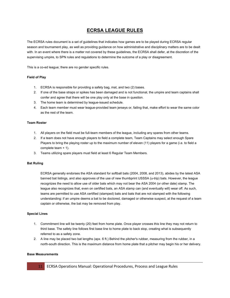# **ECRSA LEAGUE RULES**

The ECRSA rules document is a set of guidelines that indicates how games are to be played during ECRSA regular season and tournament play, as well as providing guidance on how administrative and disciplinary matters are to be dealt with. In an event where there is a matter not covered by these guidelines, the ECRSA shall defer, at the discretion of the supervising umpire, to SPN rules and regulations to determine the outcome of a play or disagreement.

This is a co-ed league; there are no gender specific rules.

## **Field of Play**

- 1. ECRSA is responsible for providing a safety bag, mat, and two (2) bases.
- 2. If one of the base straps or spikes has been damaged and is not functional, the umpire and team captains shall confer and agree that there will be one play only at the base in question.
- 3. The home team is determined by league-issued schedule.
- 4. Each team member must wear league-provided team jerseys or, failing that, make effort to wear the same color as the rest of the team.

#### **Team Roster**

- 1. All players on the field must be full-team members of the league, including any spares from other teams.
- 2. If a team does not have enough players to field a complete team, Team Captains may select enough Spare Players to bring the playing roster up to the maximum number of eleven (11) players for a game (i.e. to field a complete team + 1).
- 3. Teams utilizing spare players must field at least 6 Regular Team Members.

#### **Bat Ruling**

ECRSA generally endorses the ASA standard for softball bats (2004, 2008, and 2013), abides by the latest ASA banned bat listings, and also approves of the use of new thumbprint USSSA (u-trip) bats. However, the league recognizes the need to allow use of older bats which may not bear the ASA 2004 (or other date) stamp. The league also recognizes that, even on certified bats, an ASA stamp can (and eventually will) wear off. As such, teams are permitted to use ASA certified (stamped) bats and bats that are not stamped with the following understanding: if an umpire deems a bat to be doctored, damaged or otherwise suspect, at the request of a team captain or otherwise, the bat may be removed from play.

## **Special Lines**

- 1. Commitment line will be twenty (20) feet from home plate. Once player crosses this line they may not return to third base. The safety line follows first base line to home plate to back stop, creating what is subsequently referred to as a safety zone.
- 2. A line may be placed two bat lengths (apx. 6 ft.) Behind the pitcher's rubber, measuring from the rubber, in a north-south direction. This is the maximum distance from home plate that a pitcher may begin his or her delivery.

#### **Base Measurements**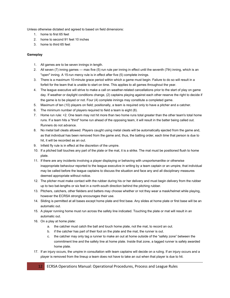Unless otherwise dictated and agreed to based on field dimensions:

- 1. home to first 65 feet
- 2. home to second 91 feet 10 inches
- 3. home to third 65 feet

# **Gameplay**

- 1. All games are to be seven innings in length.
- 2. All seven (7) inning games max five (5) run rule per inning in effect until the seventh (7th) inning, which is an "open" inning. A 15-run mercy rule is in effect after five (5) complete innings.
- 3. There is a maximum 10-minute grace period within which a game must begin. Failure to do so will result in a forfeit for the team that is unable to start on time. This applies to all games throughout the year.
- 4. The league executive will strive to make a call on weather-related cancellations prior to the start of play on game day. If weather or daylight conditions change, (2) captains playing against each other reserve the right to decide if the game is to be played or not. Four (4) complete innings may constitute a completed game.
- 5. Maximum of ten (10) players on field; positionally, a team is required only to have a pitcher and a catcher.
- 6. The minimum number of players required to field a team is eight (8).
- 7. Home run rule: +2. One team may not hit more than two home runs total greater than the other team's total home runs. If a team hits a "third" home run ahead of the opposing team, it will result in the batter being called out. Runners do not advance.
- 8. No metal ball cleats allowed. Players caught using metal cleats will be automatically ejected from the game and, as that individual has been removed from the game and, thus, the batting order, each time that person is due to hit, it will be recorded as an out.
- 9. Infield fly rule is in effect at the discretion of the umpire.
- 10. If a pitched ball touches any part of the plate or the mat, it is a strike. The mat must be positioned flush to home plate.
- 11. If there are any incidents involving a player displaying or behaving with unsportsmanlike or otherwise inappropriate behaviour reported to the league executive in writing by a team captain or an umpire, that individual may be called before the league captains to discuss the situation and face any and all disciplinary measures deemed appropriate without notice.
- 12. The pitcher must make contact with the rubber during his or her delivery and must begin delivery from the rubber up to two bat-lengths or six feet in a north-south direction behind the pitching rubber.
- 13. Pitchers, catchers, other fielders and batters may choose whether or not they wear a mask/helmet while playing, however the ECRSA strongly encourages their use.
- 14. Sliding is permitted at all bases except home plate and first base. Any slides at home plate or first base will be an automatic out.
- 15. A player running home must run across the safety line indicated. Touching the plate or mat will result in an automatic out.
- 16. On a play at home plate:
	- a. the catcher must catch the ball and touch home plate, not the mat, to record an out.
	- b. if the catcher has part of their foot on the plate and the mat, the runner is out.
	- c. the catcher may only tag a runner to make an out at home outside of the "safety zone" between the commitment line and the safety line at home plate. Inside that zone, a tagged runner is safely awarded home plate.
- 17. If an injury occurs, the umpire in consultation with team captains will decide on a ruling. If an injury occurs and a player is removed from the lineup a team does not have to take an out when that player is due to hit.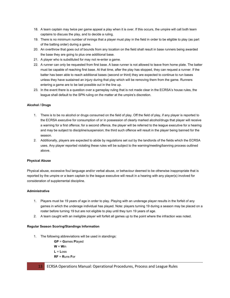- 18. A team captain may twice per game appeal a play when it is over. If this occurs, the umpire will call both team captains to discuss the play, and to decide a ruling.
- 19. There is no minimum number of innings that a player must play in the field in order to be eligible toplay (as part of the batting order) during a game.
- 20. An overthrow that goes out of bounds from any location on the field shall result in base runners being awarded the base they are going to plus one additional base.
- 21. A player who is substituted for may not re-enter a game.
- 22. A runner can only be requested from first base. A base runner is not allowed to leave from home plate. The batter must be capable of reaching first base. At that time, after the play has stopped, they can request a runner. If the batter has been able to reach additional bases (second or third) they are expected to continue to run bases unless they have sustained an injury during that play which will be removing them from the game. Runners entering a game are to be last possible out in the line up.
- 23. In the event there is a question over a gameplay ruling that is not made clear in the ECRSA's house rules, the league shall default to the SPN ruling on the matter at the umpire's discretion.

# **Alcohol / Drugs**

- 1. There is to be no alcohol or drugs consumed on the field of play. Off the field of play, if any player is reported to the ECRSA executive for consumption of or in possession of clearly marked alcohol/drugs that player will receive a warning for a first offence; for a second offence, the player will be referred to the league executive for a hearing and may be subject to discipline/suspension; the third such offence will result in the player being banned for the season.
- 2. Additionally, players are expected to abide by regulations set out by the landlords of the fields which the ECRSA uses. Any player reported violating these rules will be subject to the warning/meeting/banning process outlined above.

## **Physical Abuse**

Physical abuse, excessive foul language and/or verbal abuse, or behaviour deemed to be otherwise inappropriate that is reported by the umpire or a team captain to the league executive will result in a hearing with any player(s) involved for consideration of supplemental discipline.

## **Administrative**

- 1. Players must be 19 years of age in order to play. Playing with an underage player results in the forfeit of any games in which the underage individual has played. Note: players turning 19 during a season may be placed on a roster before turning 19 but are not eligible to play until they turn 19 years of age.
- 2. A team caught with an ineligible player will forfeit all games up to the point where the infraction was noted.

## **Regular Season Scoring/Standings Information**

- 1. The following abbreviations will be used in standings:
	- **GP** = **G**ames **P**layed
	- $W = Win$
	- $L = Loss$
	- **RF** = **R**uns **F**or